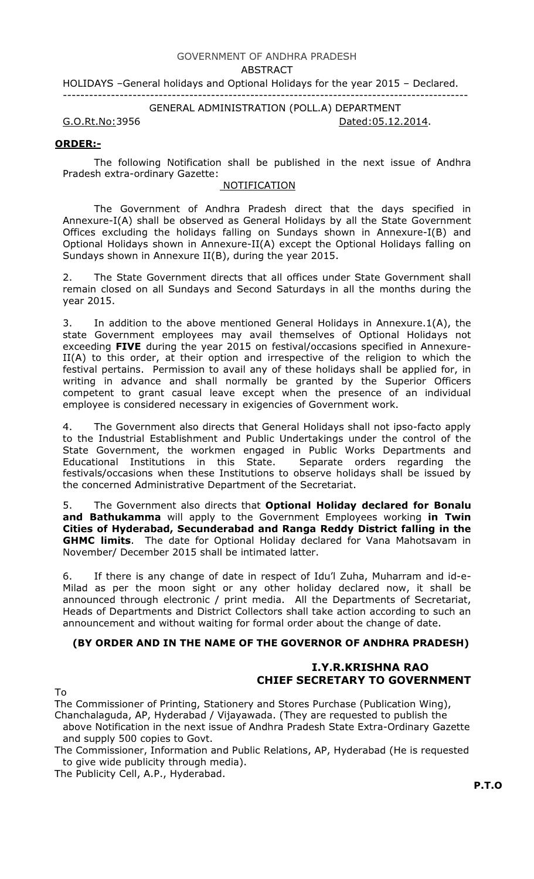# GOVERNMENT OF ANDHRA PRADESH

#### ABSTRACT

HOLIDAYS –General holidays and Optional Holidays for the year 2015 – Declared.

---------------------------------------------------------------------------------------------

GENERAL ADMINISTRATION (POLL.A) DEPARTMENT

G.O.Rt.No:3956 Dated:05.12.2014.

### ORDER:-

 The following Notification shall be published in the next issue of Andhra Pradesh extra-ordinary Gazette:

## NOTIFICATION

 The Government of Andhra Pradesh direct that the days specified in Annexure-I(A) shall be observed as General Holidays by all the State Government Offices excluding the holidays falling on Sundays shown in Annexure-I(B) and Optional Holidays shown in Annexure-II(A) except the Optional Holidays falling on Sundays shown in Annexure II(B), during the year 2015.

 2. The State Government directs that all offices under State Government shall remain closed on all Sundays and Second Saturdays in all the months during the year 2015.

 3. In addition to the above mentioned General Holidays in Annexure.1(A), the state Government employees may avail themselves of Optional Holidays not exceeding FIVE during the year 2015 on festival/occasions specified in Annexure-II(A) to this order, at their option and irrespective of the religion to which the festival pertains. Permission to avail any of these holidays shall be applied for, in writing in advance and shall normally be granted by the Superior Officers competent to grant casual leave except when the presence of an individual employee is considered necessary in exigencies of Government work.

 4. The Government also directs that General Holidays shall not ipso-facto apply to the Industrial Establishment and Public Undertakings under the control of the State Government, the workmen engaged in Public Works Departments and Educational Institutions in this State. Separate orders regarding the festivals/occasions when these Institutions to observe holidays shall be issued by the concerned Administrative Department of the Secretariat.

5. The Government also directs that **Optional Holiday declared for Bonalu** and Bathukamma will apply to the Government Employees working in Twin Cities of Hyderabad, Secunderabad and Ranga Reddy District falling in the GHMC limits. The date for Optional Holiday declared for Vana Mahotsavam in November/ December 2015 shall be intimated latter.

6. If there is any change of date in respect of Idu'l Zuha, Muharram and id-e-Milad as per the moon sight or any other holiday declared now, it shall be announced through electronic / print media. All the Departments of Secretariat, Heads of Departments and District Collectors shall take action according to such an announcement and without waiting for formal order about the change of date.

## (BY ORDER AND IN THE NAME OF THE GOVERNOR OF ANDHRA PRADESH)

# I.Y.R.KRISHNA RAO CHIEF SECRETARY TO GOVERNMENT

To

The Commissioner of Printing, Stationery and Stores Purchase (Publication Wing), Chanchalaguda, AP, Hyderabad / Vijayawada. (They are requested to publish the

above Notification in the next issue of Andhra Pradesh State Extra-Ordinary Gazette and supply 500 copies to Govt.

The Commissioner, Information and Public Relations, AP, Hyderabad (He is requested to give wide publicity through media).

The Publicity Cell, A.P., Hyderabad.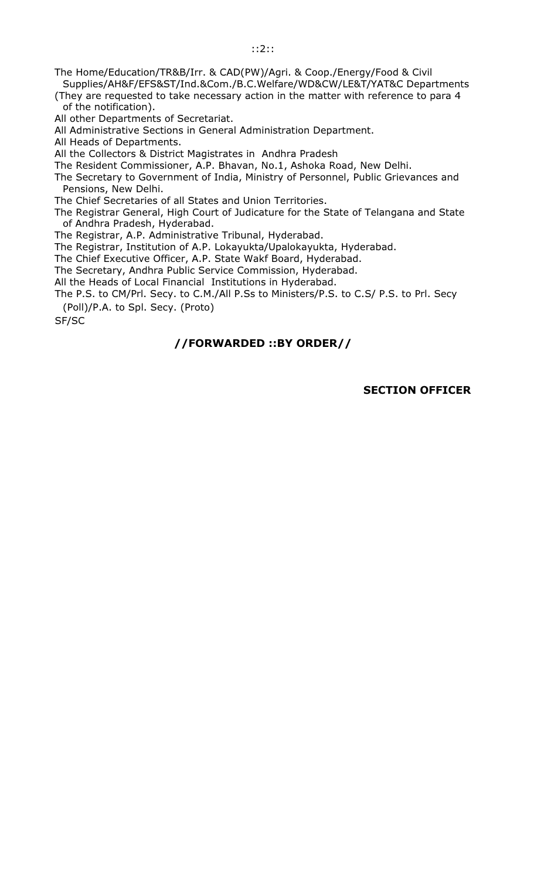The Home/Education/TR&B/Irr. & CAD(PW)/Agri. & Coop./Energy/Food & Civil Supplies/AH&F/EFS&ST/Ind.&Com./B.C.Welfare/WD&CW/LE&T/YAT&C Departments

(They are requested to take necessary action in the matter with reference to para 4 of the notification).

All other Departments of Secretariat.

All Administrative Sections in General Administration Department.

All Heads of Departments.

All the Collectors & District Magistrates in Andhra Pradesh

The Resident Commissioner, A.P. Bhavan, No.1, Ashoka Road, New Delhi.

The Secretary to Government of India, Ministry of Personnel, Public Grievances and Pensions, New Delhi.

The Chief Secretaries of all States and Union Territories.

The Registrar General, High Court of Judicature for the State of Telangana and State of Andhra Pradesh, Hyderabad.

The Registrar, A.P. Administrative Tribunal, Hyderabad.

The Registrar, Institution of A.P. Lokayukta/Upalokayukta, Hyderabad.

The Chief Executive Officer, A.P. State Wakf Board, Hyderabad.

The Secretary, Andhra Public Service Commission, Hyderabad.

All the Heads of Local Financial Institutions in Hyderabad.

The P.S. to CM/Prl. Secy. to C.M./All P.Ss to Ministers/P.S. to C.S/ P.S. to Prl. Secy (Poll)/P.A. to Spl. Secy. (Proto)

SF/SC

# //FORWARDED ::BY ORDER//

### SECTION OFFICER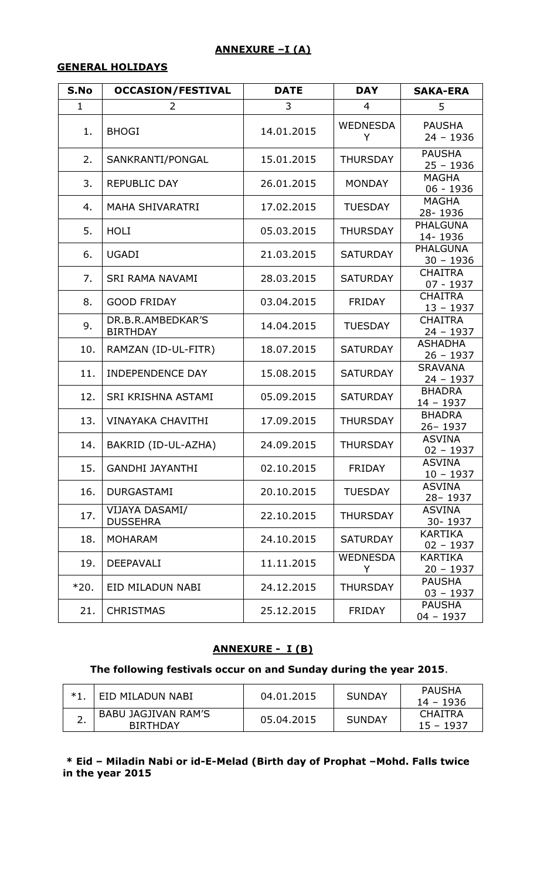# ANNEXURE -I (A)

## GENERAL HOLIDAYS

| S.No   | <b>OCCASION/FESTIVAL</b>                 | <b>DATE</b> | <b>DAY</b>           | <b>SAKA-ERA</b>                |
|--------|------------------------------------------|-------------|----------------------|--------------------------------|
| 1      | $\overline{2}$                           | 3           | 4                    | 5                              |
| 1.     | <b>BHOGI</b>                             | 14.01.2015  | <b>WEDNESDA</b><br>Y | <b>PAUSHA</b><br>$24 - 1936$   |
| 2.     | SANKRANTI/PONGAL                         | 15.01.2015  | <b>THURSDAY</b>      | <b>PAUSHA</b><br>$25 - 1936$   |
| 3.     | <b>REPUBLIC DAY</b>                      | 26.01.2015  | <b>MONDAY</b>        | <b>MAGHA</b><br>06 - 1936      |
| 4.     | <b>MAHA SHIVARATRI</b>                   | 17.02.2015  | <b>TUESDAY</b>       | <b>MAGHA</b><br>28-1936        |
| 5.     | <b>HOLI</b>                              | 05.03.2015  | <b>THURSDAY</b>      | <b>PHALGUNA</b><br>14-1936     |
| 6.     | <b>UGADI</b>                             | 21.03.2015  | <b>SATURDAY</b>      | <b>PHALGUNA</b><br>$30 - 1936$ |
| 7.     | <b>SRI RAMA NAVAMI</b>                   | 28.03.2015  | <b>SATURDAY</b>      | <b>CHAITRA</b><br>07 - 1937    |
| 8.     | <b>GOOD FRIDAY</b>                       | 03.04.2015  | <b>FRIDAY</b>        | <b>CHAITRA</b><br>$13 - 1937$  |
| 9.     | DR.B.R.AMBEDKAR'S<br><b>BIRTHDAY</b>     | 14.04.2015  | <b>TUESDAY</b>       | <b>CHAITRA</b><br>$24 - 1937$  |
| 10.    | RAMZAN (ID-UL-FITR)                      | 18.07.2015  | <b>SATURDAY</b>      | <b>ASHADHA</b><br>$26 - 1937$  |
| 11.    | <b>INDEPENDENCE DAY</b>                  | 15.08.2015  | <b>SATURDAY</b>      | <b>SRAVANA</b><br>$24 - 1937$  |
| 12.    | SRI KRISHNA ASTAMI                       | 05.09.2015  | <b>SATURDAY</b>      | <b>BHADRA</b><br>$14 - 1937$   |
| 13.    | <b>VINAYAKA CHAVITHI</b>                 | 17.09.2015  | <b>THURSDAY</b>      | <b>BHADRA</b><br>26-1937       |
| 14.    | BAKRID (ID-UL-AZHA)                      | 24.09.2015  | <b>THURSDAY</b>      | <b>ASVINA</b><br>$02 - 1937$   |
| 15.    | <b>GANDHI JAYANTHI</b>                   | 02.10.2015  | <b>FRIDAY</b>        | <b>ASVINA</b><br>$10 - 1937$   |
| 16.    | <b>DURGASTAMI</b>                        | 20.10.2015  | <b>TUESDAY</b>       | <b>ASVINA</b><br>28-1937       |
| 17.    | <b>VIJAYA DASAMI/</b><br><b>DUSSEHRA</b> | 22.10.2015  | <b>THURSDAY</b>      | <b>ASVINA</b><br>30-1937       |
| 18.    | <b>MOHARAM</b>                           | 24.10.2015  | <b>SATURDAY</b>      | KARTIKA<br>$02 - 1937$         |
| 19.    | DEEPAVALI                                | 11.11.2015  | <b>WEDNESDA</b><br>Y | KARTIKA<br>$20 - 1937$         |
| $*20.$ | EID MILADUN NABI                         | 24.12.2015  | <b>THURSDAY</b>      | <b>PAUSHA</b><br>$03 - 1937$   |
| 21.    | <b>CHRISTMAS</b>                         | 25.12.2015  | <b>FRIDAY</b>        | <b>PAUSHA</b><br>$04 - 1937$   |

# ANNEXURE - I (B)

# The following festivals occur on and Sunday during the year 2015.

| I EID MILADUN NABI                     | 04.01.2015 | <b>SUNDAY</b> | PAUSHA<br>14 – 1936           |
|----------------------------------------|------------|---------------|-------------------------------|
| BABU JAGJIVAN RAM'S<br><b>BIRTHDAY</b> | 05.04.2015 | <b>SUNDAY</b> | <b>CHAITRA</b><br>$15 - 1937$ |

 \* Eid – Miladin Nabi or id-E-Melad (Birth day of Prophat –Mohd. Falls twice in the year 2015